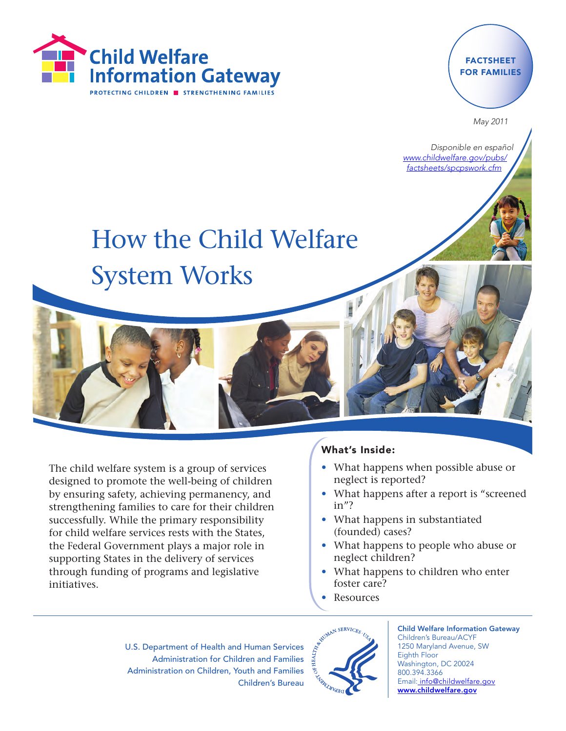



May 2011

Disponible en español [www.childwelfare.gov/pubs/](www.childwelfare.gov/pubs/factsheets/spcpswork.cfm) [factsheets/spcpswork.cfm](www.childwelfare.gov/pubs/factsheets/spcpswork.cfm)

# How the Child Welfare System Works

The child welfare system is a group of services designed to promote the well-being of children by ensuring safety, achieving permanency, and strengthening families to care for their children successfully. While the primary responsibility for child welfare services rests with the States, the Federal Government plays a major role in supporting States in the delivery of services through funding of programs and legislative initiatives.

#### What's Inside:

- What happens when possible abuse or neglect is reported?
- What happens after a report is "screened" in"?
- What happens in substantiated (founded) cases?
- What happens to people who abuse or neglect children?
- What happens to children who enter foster care?
- **Resources**

U.S. Department of Health and Human Services Administration for Children and Families Administration on Children, Youth and Families Children's Bureau



Child Welfare Information Gateway Children's Bureau/ACYF 1250 Maryland Avenue, SW Eighth Floor Washington, DC 20024 800.394.3366 Email: info@childwelfare.gov www.childwelfare.gov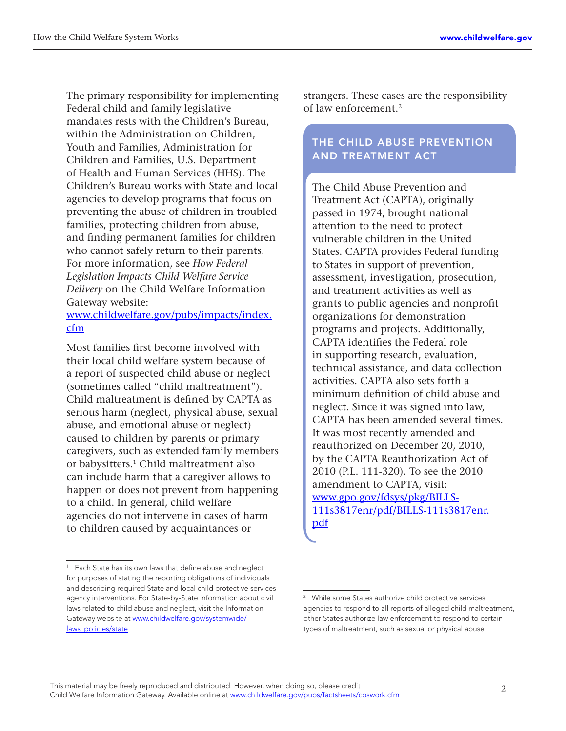The primary responsibility for implementing Federal child and family legislative mandates rests with the Children's Bureau, within the Administration on Children, Youth and Families, Administration for Children and Families, U.S. Department of Health and Human Services (HHS). The Children's Bureau works with State and local agencies to develop programs that focus on preventing the abuse of children in troubled families, protecting children from abuse, and finding permanent families for children who cannot safely return to their parents. For more information, see *How Federal Legislation Impacts Child Welfare Service Delivery* on the Child Welfare Information Gateway website:

#### [www.childwelfare.gov/pubs/impacts/index.](http://www.childwelfare.gov/pubs/impacts/index.cfm) [cfm](http://www.childwelfare.gov/pubs/impacts/index.cfm)

Most families first become involved with their local child welfare system because of a report of suspected child abuse or neglect (sometimes called "child maltreatment"). Child maltreatment is defined by CAPTA as serious harm (neglect, physical abuse, sexual abuse, and emotional abuse or neglect) caused to children by parents or primary caregivers, such as extended family members or babysitters.1 Child maltreatment also can include harm that a caregiver allows to happen or does not prevent from happening to a child. In general, child welfare agencies do not intervene in cases of harm to children caused by acquaintances or

strangers. These cases are the responsibility of law enforcement.2

#### THE CHILD ABUSE PREVENTION AND TREATMENT ACT

The Child Abuse Prevention and Treatment Act (CAPTA), originally passed in 1974, brought national attention to the need to protect vulnerable children in the United States. CAPTA provides Federal funding to States in support of prevention, assessment, investigation, prosecution, and treatment activities as well as grants to public agencies and nonprofit organizations for demonstration programs and projects. Additionally, CAPTA identifies the Federal role in supporting research, evaluation, technical assistance, and data collection activities. CAPTA also sets forth a minimum definition of child abuse and neglect. Since it was signed into law, CAPTA has been amended several times. It was most recently amended and reauthorized on December 20, 2010, by the CAPTA Reauthorization Act of 2010 (P.L. 111-320). To see the 2010 amendment to CAPTA, visit: [www.gpo.gov/fdsys/pkg/BILLS-](www.gpo.gov/fdsys/pkg/BILLS-111s3817enr/pdf/BILLS-111s3817enr.pdf)[111s3817enr/pdf/BILLS-111s3817enr.](www.gpo.gov/fdsys/pkg/BILLS-111s3817enr/pdf/BILLS-111s3817enr.pdf) [pdf](www.gpo.gov/fdsys/pkg/BILLS-111s3817enr/pdf/BILLS-111s3817enr.pdf)

<sup>&</sup>lt;sup>1</sup> Each State has its own laws that define abuse and neglect for purposes of stating the reporting obligations of individuals and describing required State and local child protective services agency interventions. For State-by-State information about civil laws related to child abuse and neglect, visit the Information Gateway website at [www.childwelfare.gov/systemwide/](www.childwelfare.gov/systemwide/laws_policies/state) [laws\\_policies/state](www.childwelfare.gov/systemwide/laws_policies/state)

<sup>2</sup> While some States authorize child protective services agencies to respond to all reports of alleged child maltreatment, other States authorize law enforcement to respond to certain types of maltreatment, such as sexual or physical abuse.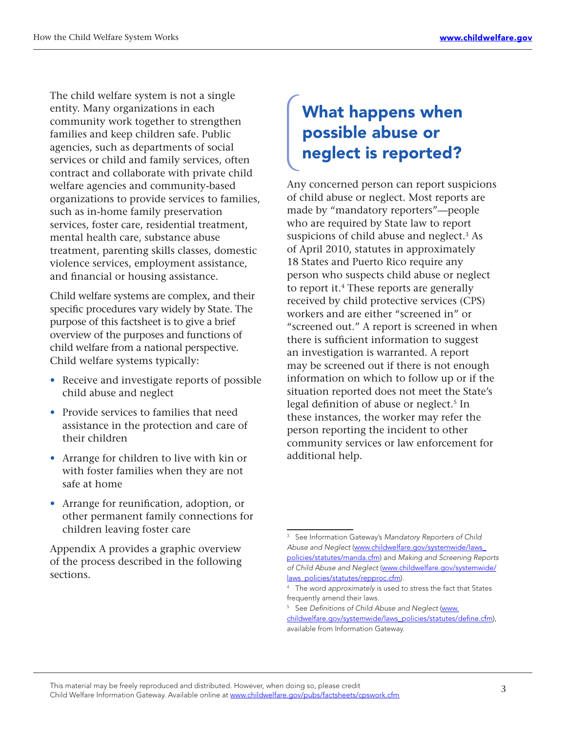The child welfare system is not a single entity. Many organizations in each community work together to strengthen families and keep children safe. Public agencies, such as departments of social services or child and family services, often contract and collaborate with private child welfare agencies and community-based organizations to provide services to families, such as in-home family preservation services, foster care, residential treatment, mental health care, substance abuse treatment, parenting skills classes, domestic violence services, employment assistance, and financial or housing assistance.

Child welfare systems are complex, and their specific procedures vary widely by State. The purpose of this factsheet is to give a brief overview of the purposes and functions of child welfare from a national perspective. Child welfare systems typically:

- Receive and investigate reports of possible child abuse and neglect
- Provide services to families that need assistance in the protection and care of their children
- Arrange for children to live with kin or with foster families when they are not safe at home
- Arrange for reunification, adoption, or other permanent family connections for children leaving foster care

Appendix A provides a graphic overview of the process described in the following sections.

#### What happens when possible abuse or neglect is reported?

Any concerned person can report suspicions of child abuse or neglect. Most reports are made by "mandatory reporters"—people who are required by State law to report suspicions of child abuse and neglect.<sup>3</sup> As of April 2010, statutes in approximately 18 States and Puerto Rico require any person who suspects child abuse or neglect to report it.<sup>4</sup> These reports are generally received by child protective services (CPS) workers and are either "screened in" or "screened out." A report is screened in when there is sufficient information to suggest an investigation is warranted. A report may be screened out if there is not enough information on which to follow up or if the situation reported does not meet the State's legal definition of abuse or neglect.<sup>5</sup> In these instances, the worker may refer the person reporting the incident to other community services or law enforcement for additional help.

<sup>&</sup>lt;sup>3</sup> See Information Gateway's Mandatory Reporters of Child Abuse and Neglect (www.childwelfare.gov/systemwide/laws\_ policies/statutes/manda.cfm) and Making and Screening Reports of Child Abuse and Neglect (www.childwelfare.gov/systemwide/ laws\_policies/statutes/repproc.cfm).

<sup>&</sup>lt;sup>4</sup> The word approximately is used to stress the fact that States frequently amend their laws.

See Definitions of Child Abuse and Neglect (www.

childwelfare.gov/systemwide/laws\_policies/statutes/define.cfm), available from Information Gateway.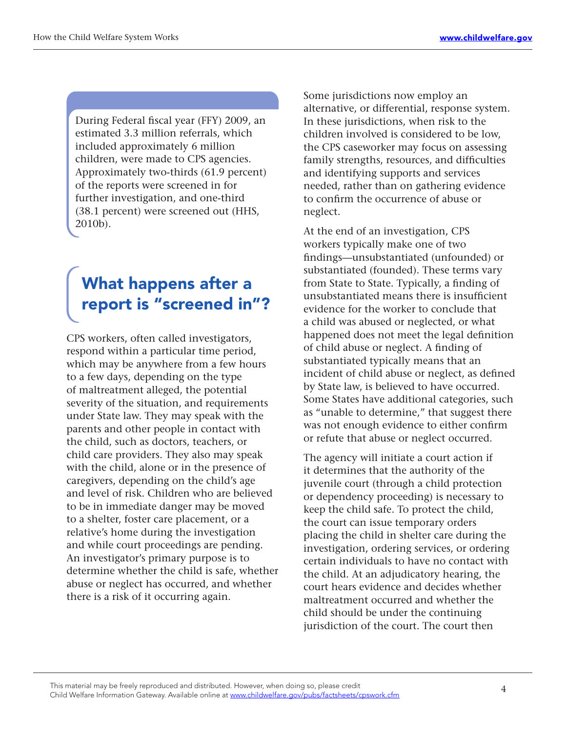During Federal fiscal year (FFY) 2009, an estimated 3.3 million referrals, which included approximately 6 million children, were made to CPS agencies. Approximately two-thirds (61.9 percent) of the reports were screened in for further investigation, and one-third (38.1 percent) were screened out (HHS, 2010b).

### What happens after a report is "screened in"?

CPS workers, often called investigators, respond within a particular time period, which may be anywhere from a few hours to a few days, depending on the type of maltreatment alleged, the potential severity of the situation, and requirements under State law. They may speak with the parents and other people in contact with the child, such as doctors, teachers, or child care providers. They also may speak with the child, alone or in the presence of caregivers, depending on the child's age and level of risk. Children who are believed to be in immediate danger may be moved to a shelter, foster care placement, or a relative's home during the investigation and while court proceedings are pending. An investigator's primary purpose is to determine whether the child is safe, whether abuse or neglect has occurred, and whether there is a risk of it occurring again.

Some jurisdictions now employ an alternative, or differential, response system. In these jurisdictions, when risk to the children involved is considered to be low, the CPS caseworker may focus on assessing family strengths, resources, and difficulties and identifying supports and services needed, rather than on gathering evidence to confirm the occurrence of abuse or neglect.

At the end of an investigation, CPS workers typically make one of two findings—unsubstantiated (unfounded) or substantiated (founded). These terms vary from State to State. Typically, a finding of unsubstantiated means there is insufficient evidence for the worker to conclude that a child was abused or neglected, or what happened does not meet the legal definition of child abuse or neglect. A finding of substantiated typically means that an incident of child abuse or neglect, as defined by State law, is believed to have occurred. Some States have additional categories, such as "unable to determine," that suggest there was not enough evidence to either confirm or refute that abuse or neglect occurred.

The agency will initiate a court action if it determines that the authority of the juvenile court (through a child protection or dependency proceeding) is necessary to keep the child safe. To protect the child, the court can issue temporary orders placing the child in shelter care during the investigation, ordering services, or ordering certain individuals to have no contact with the child. At an adjudicatory hearing, the court hears evidence and decides whether maltreatment occurred and whether the child should be under the continuing jurisdiction of the court. The court then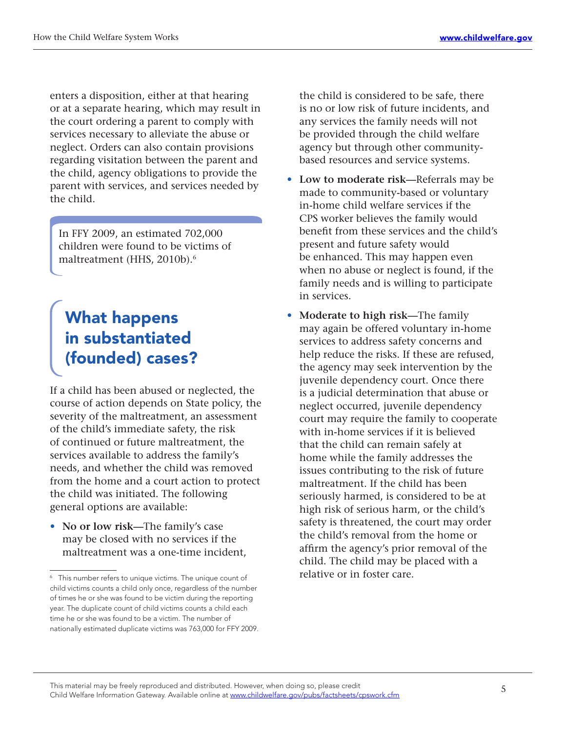enters a disposition, either at that hearing or at a separate hearing, which may result in the court ordering a parent to comply with services necessary to alleviate the abuse or neglect. Orders can also contain provisions regarding visitation between the parent and the child, agency obligations to provide the parent with services, and services needed by the child.

In FFY 2009, an estimated 702,000 children were found to be victims of maltreatment (HHS, 2010b).<sup>6</sup>

#### What happens in substantiated (founded) cases?

If a child has been abused or neglected, the course of action depends on State policy, the severity of the maltreatment, an assessment of the child's immediate safety, the risk of continued or future maltreatment, the services available to address the family's needs, and whether the child was removed from the home and a court action to protect the child was initiated. The following general options are available:

**• No or low risk—**The family's case may be closed with no services if the maltreatment was a one-time incident, the child is considered to be safe, there is no or low risk of future incidents, and any services the family needs will not be provided through the child welfare agency but through other communitybased resources and service systems.

- **• Low to moderate risk—**Referrals may be made to community-based or voluntary in-home child welfare services if the CPS worker believes the family would benefit from these services and the child's present and future safety would be enhanced. This may happen even when no abuse or neglect is found, if the family needs and is willing to participate in services.
- **• Moderate to high risk—**The family may again be offered voluntary in-home services to address safety concerns and help reduce the risks. If these are refused, the agency may seek intervention by the juvenile dependency court. Once there is a judicial determination that abuse or neglect occurred, juvenile dependency court may require the family to cooperate with in-home services if it is believed that the child can remain safely at home while the family addresses the issues contributing to the risk of future maltreatment. If the child has been seriously harmed, is considered to be at high risk of serious harm, or the child's safety is threatened, the court may order the child's removal from the home or affirm the agency's prior removal of the child. The child may be placed with a relative or in foster care.

<sup>6</sup> This number refers to unique victims. The unique count of child victims counts a child only once, regardless of the number of times he or she was found to be victim during the reporting year. The duplicate count of child victims counts a child each time he or she was found to be a victim. The number of nationally estimated duplicate victims was 763,000 for FFY 2009.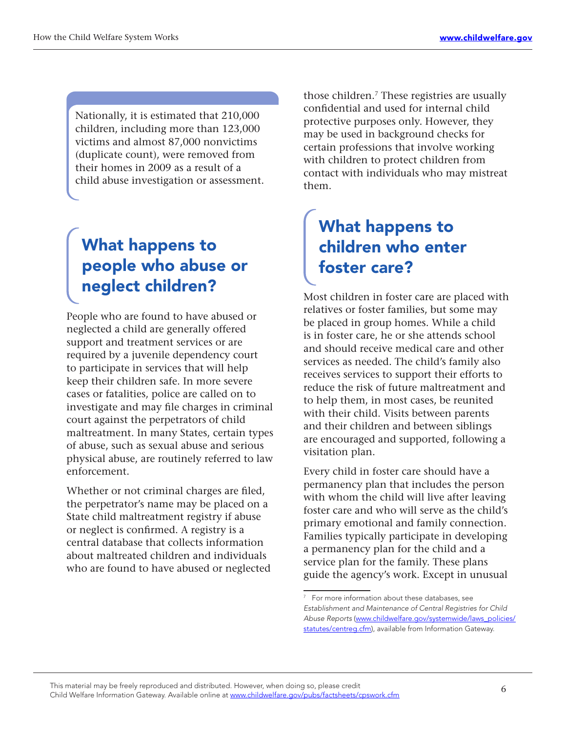Nationally, it is estimated that 210,000 children, including more than 123,000 victims and almost 87,000 nonvictims (duplicate count), were removed from their homes in 2009 as a result of a child abuse investigation or assessment.

### What happens to people who abuse or neglect children?

People who are found to have abused or neglected a child are generally offered support and treatment services or are required by a juvenile dependency court to participate in services that will help keep their children safe. In more severe cases or fatalities, police are called on to investigate and may file charges in criminal court against the perpetrators of child maltreatment. In many States, certain types of abuse, such as sexual abuse and serious physical abuse, are routinely referred to law enforcement.

Whether or not criminal charges are filed, the perpetrator's name may be placed on a State child maltreatment registry if abuse or neglect is confirmed. A registry is a central database that collects information about maltreated children and individuals who are found to have abused or neglected those children.7 These registries are usually confidential and used for internal child protective purposes only. However, they may be used in background checks for certain professions that involve working with children to protect children from contact with individuals who may mistreat them.

### What happens to children who enter foster care?

Most children in foster care are placed with relatives or foster families, but some may be placed in group homes. While a child is in foster care, he or she attends school and should receive medical care and other services as needed. The child's family also receives services to support their efforts to reduce the risk of future maltreatment and to help them, in most cases, be reunited with their child. Visits between parents and their children and between siblings are encouraged and supported, following a visitation plan.

Every child in foster care should have a permanency plan that includes the person with whom the child will live after leaving foster care and who will serve as the child's primary emotional and family connection. Families typically participate in developing a permanency plan for the child and a service plan for the family. These plans guide the agency's work. Except in unusual

 $7$  For more information about these databases, see Establishment and Maintenance of Central Registries for Child Abuse Reports (www.childwelfare.gov/systemwide/laws\_policies/ statutes/centreg.cfm), available from Information Gateway.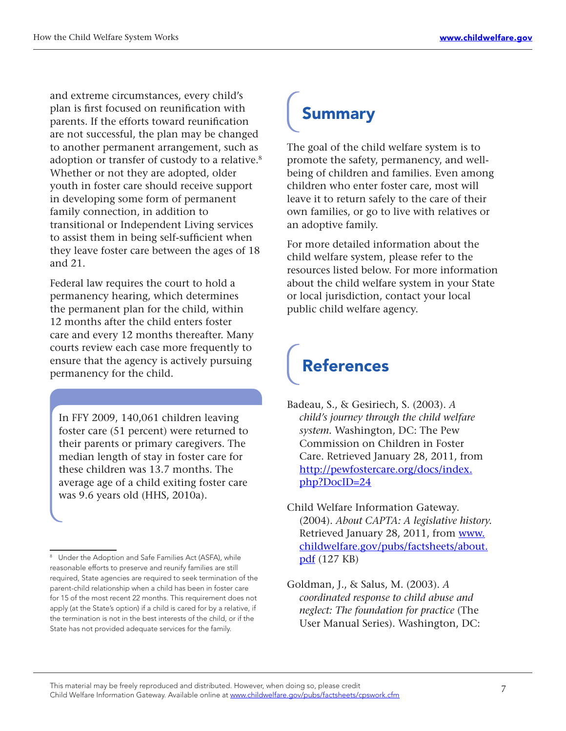and extreme circumstances, every child's plan is first focused on reunification with parents. If the efforts toward reunification are not successful, the plan may be changed to another permanent arrangement, such as adoption or transfer of custody to a relative.8 Whether or not they are adopted, older youth in foster care should receive support in developing some form of permanent family connection, in addition to transitional or Independent Living services to assist them in being self-sufficient when they leave foster care between the ages of 18 and 21.

Federal law requires the court to hold a permanency hearing, which determines the permanent plan for the child, within 12 months after the child enters foster care and every 12 months thereafter. Many courts review each case more frequently to ensure that the agency is actively pursuing permanency for the child.

In FFY 2009, 140,061 children leaving foster care (51 percent) were returned to their parents or primary caregivers. The median length of stay in foster care for these children was 13.7 months. The average age of a child exiting foster care was 9.6 years old (HHS, 2010a).

## **Summary**

The goal of the child welfare system is to promote the safety, permanency, and wellbeing of children and families. Even among children who enter foster care, most will leave it to return safely to the care of their own families, or go to live with relatives or an adoptive family.

For more detailed information about the child welfare system, please refer to the resources listed below. For more information about the child welfare system in your State or local jurisdiction, contact your local public child welfare agency.

### References

- Badeau, S., & Gesiriech, S. (2003). *A child's journey through the child welfare system.* Washington, DC: The Pew Commission on Children in Foster Care. Retrieved January 28, 2011, from [http://pewfostercare.org/docs/index.](http://pewfostercare.org/docs/index.php?DocID=24) [php?DocID=24](http://pewfostercare.org/docs/index.php?DocID=24)
- Child Welfare Information Gateway. (2004). *About CAPTA: A legislative history.* Retrieved January 28, 2011, from [www.](http://www.childwelfare.gov/pubs/factsheets/about.pdf) [childwelfare.gov/pubs/factsheets/about.](http://www.childwelfare.gov/pubs/factsheets/about.pdf) [pdf](http://www.childwelfare.gov/pubs/factsheets/about.pdf) (127 KB)
- Goldman, J., & Salus, M. (2003). *A coordinated response to child abuse and neglect: The foundation for practice* (The User Manual Series). Washington, DC:

<sup>&</sup>lt;sup>8</sup> Under the Adoption and Safe Families Act (ASFA), while reasonable efforts to preserve and reunify families are still required, State agencies are required to seek termination of the parent-child relationship when a child has been in foster care for 15 of the most recent 22 months. This requirement does not apply (at the State's option) if a child is cared for by a relative, if the termination is not in the best interests of the child, or if the State has not provided adequate services for the family.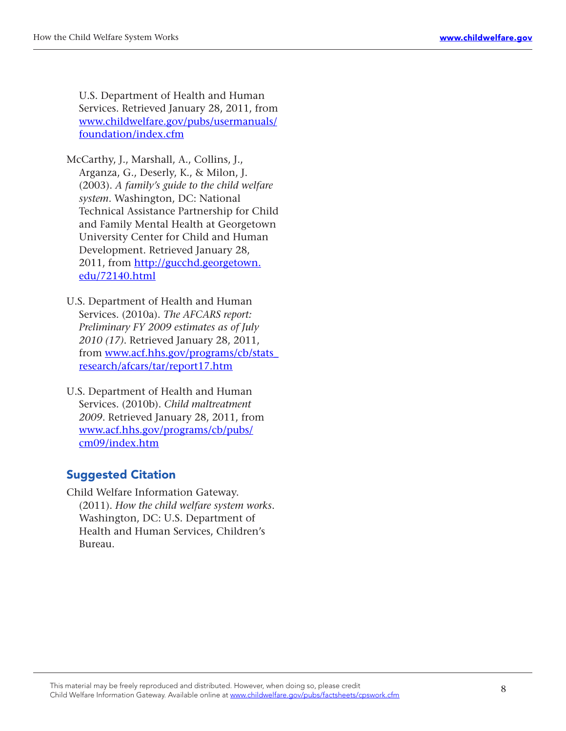U.S. Department of Health and Human Services. Retrieved January 28, 2011, from [www.childwelfare.gov/pubs/usermanuals/](http://www.childwelfare.gov/pubs/usermanuals/foundation/index.cfm) [foundation/index.cfm](http://www.childwelfare.gov/pubs/usermanuals/foundation/index.cfm)

McCarthy, J., Marshall, A., Collins, J., Arganza, G., Deserly, K., & Milon, J. (2003). *A family's guide to the child welfare system*. Washington, DC: National Technical Assistance Partnership for Child and Family Mental Health at Georgetown University Center for Child and Human Development. Retrieved January 28, 2011, from [http://gucchd.georgetown.](http://gucchd.georgetown.edu/72140.html) [edu/72140.html](http://gucchd.georgetown.edu/72140.html)

- U.S. Department of Health and Human Services. (2010a). *The AFCARS report: Preliminary FY 2009 estimates as of July 2010 (17)*. Retrieved January 28, 2011, from [www.acf.hhs.gov/programs/cb/stats\\_](http://www.acf.hhs.gov/programs/cb/stats_research/afcars/tar/report17.htm) [research/afcars/tar/report17.htm](http://www.acf.hhs.gov/programs/cb/stats_research/afcars/tar/report17.htm)
- U.S. Department of Health and Human Services. (2010b). *Child maltreatment 2009*. Retrieved January 28, 2011, from [www.acf.hhs.gov/programs/cb/pubs/](http://www.acf.hhs.gov/programs/cb/pubs/cm09/index.htm) [cm09/index.htm](http://www.acf.hhs.gov/programs/cb/pubs/cm09/index.htm)

#### Suggested Citation

Child Welfare Information Gateway. (2011). *How the child welfare system works*. Washington, DC: U.S. Department of Health and Human Services, Children's Bureau.